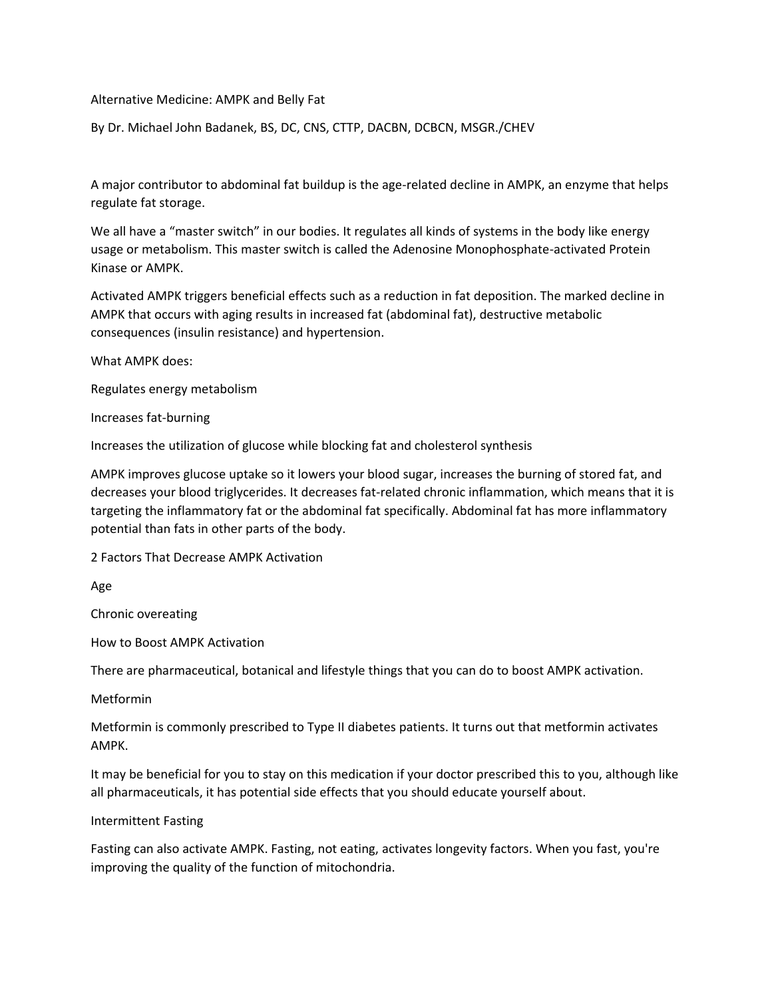## Alternative Medicine: AMPK and Belly Fat

By Dr. Michael John Badanek, BS, DC, CNS, CTTP, DACBN, DCBCN, MSGR./CHEV

A major contributor to abdominal fat buildup is the age-related decline in AMPK, an enzyme that helps regulate fat storage.

We all have a "master switch" in our bodies. It regulates all kinds of systems in the body like energy usage or metabolism. This master switch is called the Adenosine Monophosphate-activated Protein Kinase or AMPK.

Activated AMPK triggers beneficial effects such as a reduction in fat deposition. The marked decline in AMPK that occurs with aging results in increased fat (abdominal fat), destructive metabolic consequences (insulin resistance) and hypertension.

What AMPK does:

Regulates energy metabolism

Increases fat-burning

Increases the utilization of glucose while blocking fat and cholesterol synthesis

AMPK improves glucose uptake so it lowers your blood sugar, increases the burning of stored fat, and decreases your blood triglycerides. It decreases fat-related chronic inflammation, which means that it is targeting the inflammatory fat or the abdominal fat specifically. Abdominal fat has more inflammatory potential than fats in other parts of the body.

2 Factors That Decrease AMPK Activation

Age

Chronic overeating

How to Boost AMPK Activation

There are pharmaceutical, botanical and lifestyle things that you can do to boost AMPK activation.

Metformin

Metformin is commonly prescribed to Type II diabetes patients. It turns out that metformin activates AMPK.

It may be beneficial for you to stay on this medication if your doctor prescribed this to you, although like all pharmaceuticals, it has potential side effects that you should educate yourself about.

Intermittent Fasting

Fasting can also activate AMPK. Fasting, not eating, activates longevity factors. When you fast, you're improving the quality of the function of mitochondria.